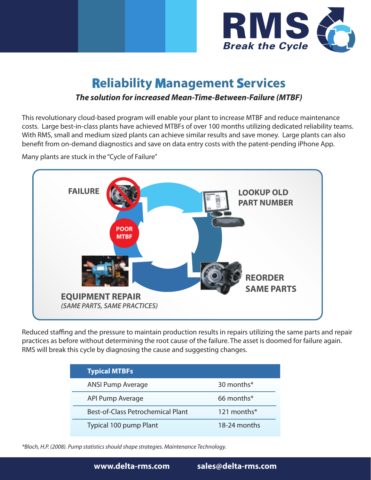

## **Reliability Management Services**

## *The solution for increased Mean-Time-Between-Failure (MTBF)*

This revolutionary cloud-based program will enable your plant to increase MTBF and reduce maintenance costs. Large best-in-class plants have achieved MTBFs of over 100 months utilizing dedicated reliability teams. With RMS, small and medium sized plants can achieve similar results and save money. Large plants can also benefit from on-demand diagnostics and save on data entry costs with the patent-pending iPhone App.

Many plants are stuck in the "Cycle of Failure"



Reduced staffing and the pressure to maintain production results in repairs utilizing the same parts and repair practices as before without determining the root cause of the failure. The asset is doomed for failure again. RMS will break this cycle by diagnosing the cause and suggesting changes.

| <b>Typical MTBFs</b>                     |                          |
|------------------------------------------|--------------------------|
| <b>ANSI Pump Average</b>                 | 30 months*               |
| API Pump Average                         | $66$ months <sup>*</sup> |
| <b>Best-of-Class Petrochemical Plant</b> | 121 months*              |
| Typical 100 pump Plant                   | 18-24 months             |

*\*Bloch, H.P. (2008). Pump statistics should shape strategies. Maintenance Technology.*